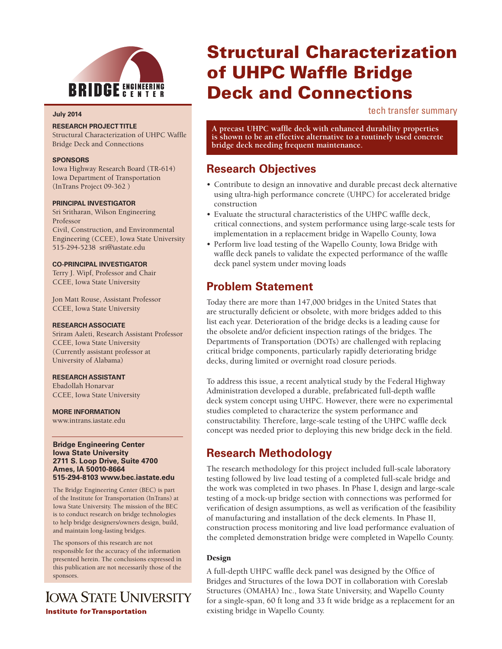

## **July 2014**

## **RESEARCH PROJECT TITLE**

Structural Characterization of UHPC Waffle Bridge Deck and Connections

## **SPONSORS**

Iowa Highway Research Board (TR-614) Iowa Department of Transportation (InTrans Project 09-362 )

## **PRINCIPAL INVESTIGATOR**

Sri Sritharan, Wilson Engineering Professor Civil, Construction, and Environmental Engineering (CCEE), Iowa State University 515-294-5238 sri@iastate.edu

## **CO-PRINCIPAL INVESTIGATOR**

Terry J. Wipf, Professor and Chair CCEE, Iowa State University

Jon Matt Rouse, Assistant Professor CCEE, Iowa State University

#### **RESEARCH ASSOCIATE**

Sriram Aaleti, Research Assistant Professor CCEE, Iowa State University (Currently assistant professor at University of Alabama)

#### **RESEARCH ASSISTANT**

Ebadollah Honarvar CCEE, Iowa State University

**MORE INFORMATION** www.intrans.iastate.edu

#### **Bridge Engineering Center Iowa State University 2711 S. Loop Drive, Suite 4700 Ames, IA 50010-8664 515-294-8103 www.bec.iastate.edu**

The Bridge Engineering Center (BEC) is part of the Institute for Transportation (InTrans) at Iowa State University. The mission of the BEC is to conduct research on bridge technologies to help bridge designers/owners design, build, and maintain long-lasting bridges.

The sponsors of this research are not responsible for the accuracy of the information presented herein. The conclusions expressed in this publication are not necessarily those of the sponsors.

# **IOWA STATE UNIVERSITY Institute for Transportation**

# Structural Characterization of UHPC Waffle Bridge Deck and Connections

tech transfer summary

**A precast UHPC waffle deck with enhanced durability properties is shown to be an effective alternative to a routinely used concrete bridge deck needing frequent maintenance.**

## **Research Objectives**

- Contribute to design an innovative and durable precast deck alternative using ultra-high performance concrete (UHPC) for accelerated bridge construction
- Evaluate the structural characteristics of the UHPC waffle deck, critical connections, and system performance using large-scale tests for implementation in a replacement bridge in Wapello County, Iowa
- Perform live load testing of the Wapello County, Iowa Bridge with waffle deck panels to validate the expected performance of the waffle deck panel system under moving loads

# **Problem Statement**

Today there are more than 147,000 bridges in the United States that are structurally deficient or obsolete, with more bridges added to this list each year. Deterioration of the bridge decks is a leading cause for the obsolete and/or deficient inspection ratings of the bridges. The Departments of Transportation (DOTs) are challenged with replacing critical bridge components, particularly rapidly deteriorating bridge decks, during limited or overnight road closure periods.

To address this issue, a recent analytical study by the Federal Highway Administration developed a durable, prefabricated full-depth waffle deck system concept using UHPC. However, there were no experimental studies completed to characterize the system performance and constructability. Therefore, large-scale testing of the UHPC waffle deck concept was needed prior to deploying this new bridge deck in the field.

## **Research Methodology**

The research methodology for this project included full-scale laboratory testing followed by live load testing of a completed full-scale bridge and the work was completed in two phases. In Phase I, design and large-scale testing of a mock-up bridge section with connections was performed for verification of design assumptions, as well as verification of the feasibility of manufacturing and installation of the deck elements. In Phase II, construction process monitoring and live load performance evaluation of the completed demonstration bridge were completed in Wapello County.

## Design

A full-depth UHPC waffle deck panel was designed by the Office of Bridges and Structures of the Iowa DOT in collaboration with Coreslab Structures (OMAHA) Inc., Iowa State University, and Wapello County for a single-span, 60 ft long and 33 ft wide bridge as a replacement for an existing bridge in Wapello County.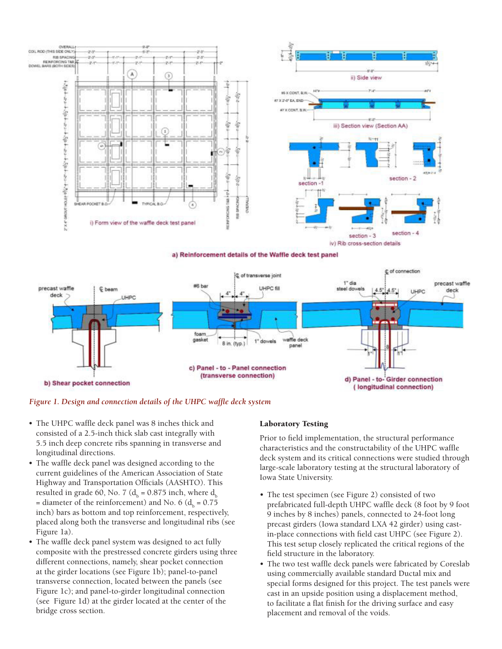

a) Reinforcement details of the Waffle deck test panel



## *Figure 1. Design and connection details of the UHPC waffle deck system*

- The UHPC waffle deck panel was 8 inches thick and consisted of a 2.5-inch thick slab cast integrally with 5.5 inch deep concrete ribs spanning in transverse and longitudinal directions.
- The waffle deck panel was designed according to the current guidelines of the American Association of State Highway and Transportation Officials (AASHTO). This resulted in grade 60, No. 7 ( $d_b$  = 0.875 inch, where  $d_b$ = diameter of the reinforcement) and No. 6 ( $d_b$  = 0.75 inch) bars as bottom and top reinforcement, respectively, placed along both the transverse and longitudinal ribs (see Figure 1a).
- The waffle deck panel system was designed to act fully composite with the prestressed concrete girders using three different connections, namely, shear pocket connection at the girder locations (see Figure 1b); panel-to-panel transverse connection, located between the panels (see Figure 1c); and panel-to-girder longitudinal connection (see Figure 1d) at the girder located at the center of the bridge cross section.

## Laboratory Testing

Prior to field implementation, the structural performance characteristics and the constructability of the UHPC waffle deck system and its critical connections were studied through large-scale laboratory testing at the structural laboratory of Iowa State University.

- The test specimen (see Figure 2) consisted of two prefabricated full-depth UHPC waffle deck (8 foot by 9 foot 9 inches by 8 inches) panels, connected to 24-foot long precast girders (Iowa standard LXA 42 girder) using castin-place connections with field cast UHPC (see Figure 2). This test setup closely replicated the critical regions of the field structure in the laboratory.
- The two test waffle deck panels were fabricated by Coreslab using commercially available standard Ductal mix and special forms designed for this project. The test panels were cast in an upside position using a displacement method, to facilitate a flat finish for the driving surface and easy placement and removal of the voids.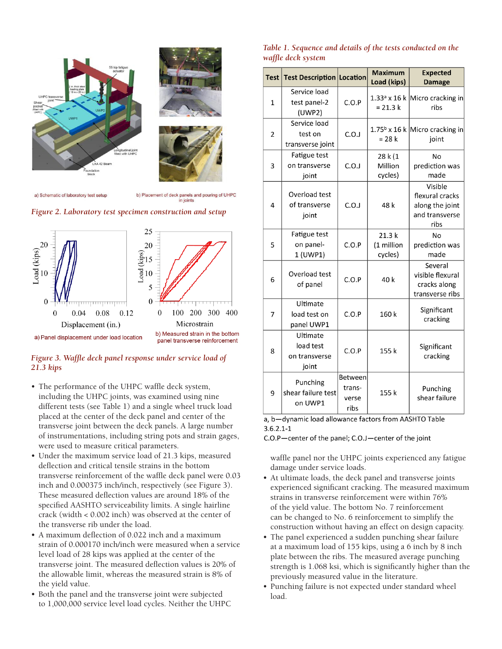

a) Schematic of laboratory test setup

b) Placement of deck panels and pouring of UHPC in joints

*Figure 2. Laboratory test specimen construction and setup*



## *Figure 3. Waffle deck panel response under service load of 21.3 kips*

- The performance of the UHPC waffle deck system, including the UHPC joints, was examined using nine different tests (see Table 1) and a single wheel truck load placed at the center of the deck panel and center of the transverse joint between the deck panels. A large number of instrumentations, including string pots and strain gages, were used to measure critical parameters.
- Under the maximum service load of 21.3 kips, measured deflection and critical tensile strains in the bottom transverse reinforcement of the waffle deck panel were 0.03 inch and 0.000375 inch/inch, respectively (see Figure 3). These measured deflection values are around 18% of the specified AASHTO serviceability limits. A single hairline crack (width < 0.002 inch) was observed at the center of the transverse rib under the load.
- A maximum deflection of 0.022 inch and a maximum strain of 0.000170 inch/inch were measured when a service level load of 28 kips was applied at the center of the transverse joint. The measured deflection values is 20% of the allowable limit, whereas the measured strain is 8% of the yield value.
- Both the panel and the transverse joint were subjected to 1,000,000 service level load cycles. Neither the UHPC

## *Table 1. Sequence and details of the tests conducted on the waffle deck system*

| <b>Test</b>    | <b>Test Description Location</b>                |                                    | <b>Maximum</b><br>Load (kips)   | <b>Expected</b><br><b>Damage</b>                                        |
|----------------|-------------------------------------------------|------------------------------------|---------------------------------|-------------------------------------------------------------------------|
| $\mathbf{1}$   | Service load<br>test panel-2<br>(UWP2)          | C.O.P                              | $= 21.3 k$                      | 1.33 <sup>a</sup> x 16 k Micro cracking in<br>ribs                      |
| $\overline{2}$ | Service load<br>test on<br>transverse joint     | C.O.J                              | $= 28 k$                        | 1.75 <sup>b</sup> x 16 k Micro cracking in<br>joint                     |
| 3              | Fatigue test<br>on transverse<br>joint          | C.O.J                              | 28 k (1<br>Million<br>cycles)   | No<br>prediction was<br>made                                            |
| 4              | Overload test<br>of transverse<br>joint         | C.O.J                              | 48 k                            | Visible<br>flexural cracks<br>along the joint<br>and transverse<br>ribs |
| 5              | Fatigue test<br>on panel-<br>1 (UWP1)           | C.O.P                              | 21.3 k<br>(1 million<br>cycles) | No<br>prediction was<br>made                                            |
| 6              | Overload test<br>of panel                       | C.O.P                              | 40 k                            | Several<br>visible flexural<br>cracks along<br>transverse ribs          |
| 7              | Ultimate<br>load test on<br>panel UWP1          | C.O.P                              | 160 k                           | Significant<br>cracking                                                 |
| 8              | Ultimate<br>load test<br>on transverse<br>joint | C.O.P                              | 155 k                           | Significant<br>cracking                                                 |
| 9              | Punching<br>shear failure test<br>on UWP1       | Between<br>trans-<br>verse<br>ribs | 155k                            | Punching<br>shear failure                                               |

a, b-dynamic load allowance factors from AASHTO Table  $3.6.2.1 - 1$ 

C.O.P-center of the panel; C.O.J-center of the joint

waffle panel nor the UHPC joints experienced any fatigue damage under service loads.

- At ultimate loads, the deck panel and transverse joints experienced significant cracking. The measured maximum strains in transverse reinforcement were within 76% of the yield value. The bottom No. 7 reinforcement can be changed to No. 6 reinforcement to simplify the construction without having an effect on design capacity.
- The panel experienced a sudden punching shear failure at a maximum load of 155 kips, using a 6 inch by 8 inch plate between the ribs. The measured average punching strength is 1.068 ksi, which is significantly higher than the previously measured value in the literature.
- Punching failure is not expected under standard wheel load.